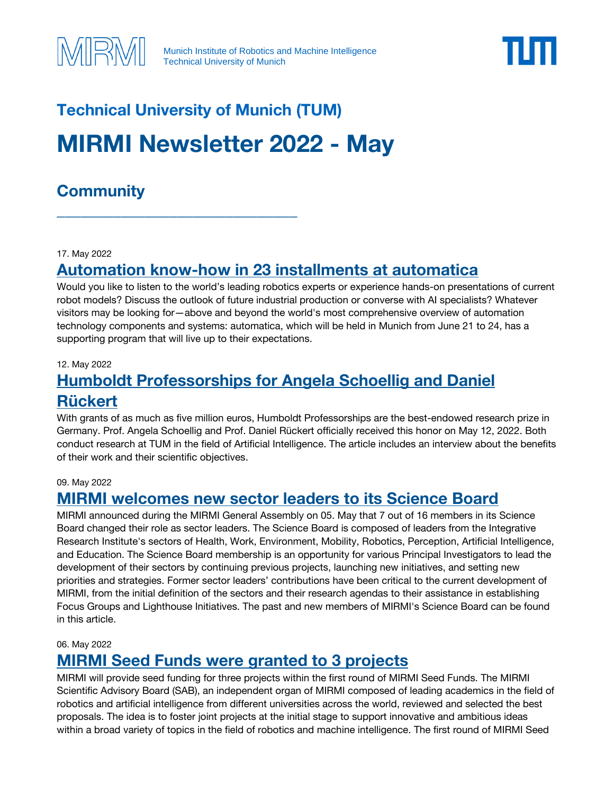

# **Technical University of Munich (TUM) MIRMI Newsletter 2022 - May**

\_\_\_\_\_\_\_\_\_\_\_\_\_\_\_\_\_\_\_\_\_\_\_\_\_\_\_\_\_\_

# **Community**

**IRM** 

#### 17. May 2022

### **[Automation know-how in 23 installments at automatica](https://automatica-munich.com/en/newsroom/press-downloads/press-releases/detail/automation-know-how-in-23-instalments.html)**

Would you like to listen to the world's leading robotics experts or experience hands-on presentations of current robot models? Discuss the outlook of future industrial production or converse with AI specialists? Whatever visitors may be looking for—above and beyond the world's most comprehensive overview of automation technology components and systems: automatica, which will be held in Munich from June 21 to 24, has a supporting program that will live up to their expectations.

#### 12. May 2022

# **[Humboldt Professorships for Angela Schoellig and Daniel](https://www.tum.de/en/about-tum/news/press-releases/details/37373)  [Rückert](https://www.tum.de/en/about-tum/news/press-releases/details/37373)**

With grants of as much as five million euros, Humboldt Professorships are the best-endowed research prize in Germany. Prof. Angela Schoellig and Prof. Daniel Rückert officially received this honor on May 12, 2022. Both conduct research at TUM in the field of Artificial Intelligence. The article includes an interview about the benefits of their work and their scientific objectives.

#### 09. May 2022

### **[MIRMI welcomes new sector leaders to its Science Board](https://www.mirmi.tum.de/mirmi/news/article/mirmi-welcomes-new-sector-leaders-to-its-science-board/)**

MIRMI announced during the MIRMI General Assembly on 05. May that 7 out of 16 members in its Science Board changed their role as sector leaders. The Science Board is composed of leaders from the Integrative Research Institute's sectors of Health, Work, Environment, Mobility, Robotics, Perception, Artificial Intelligence, and Education. The Science Board membership is an opportunity for various Principal Investigators to lead the development of their sectors by continuing previous projects, launching new initiatives, and setting new priorities and strategies. Former sector leaders' contributions have been critical to the current development of MIRMI, from the initial definition of the sectors and their research agendas to their assistance in establishing Focus Groups and Lighthouse Initiatives. The past and new members of MIRMI's Science Board can be found in this article.

06. May 2022

### **[MIRMI Seed Funds were granted to 3 projects](https://www.mirmi.tum.de/mirmi/news/article/mirmi-seed-funds-were-granted-to-3-projects/)**

MIRMI will provide seed funding for three projects within the first round of MIRMI Seed Funds. The MIRMI Scientific Advisory Board (SAB), an independent organ of MIRMI composed of leading academics in the field of robotics and artificial intelligence from different universities across the world, reviewed and selected the best proposals. The idea is to foster joint projects at the initial stage to support innovative and ambitious ideas within a broad variety of topics in the field of robotics and machine intelligence. The first round of MIRMI Seed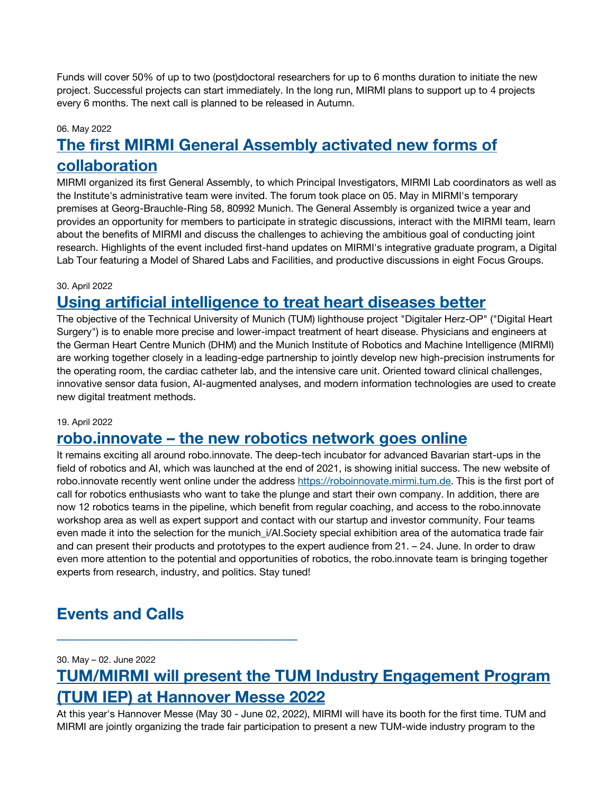Funds will cover 50% of up to two (post)doctoral researchers for up to 6 months duration to initiate the new project. Successful projects can start immediately. In the long run, MIRMI plans to support up to 4 projects every 6 months. The next call is planned to be released in Autumn.

#### 06. May 2022

# **The first MIRMI [General Assembly activated new forms of](https://www.mirmi.tum.de/mirmi/news/article/the-first-mirmi-general-assembly-activated-new-forms-of-collaboration/)  [collaboration](https://www.mirmi.tum.de/mirmi/news/article/the-first-mirmi-general-assembly-activated-new-forms-of-collaboration/)**

MIRMI organized its first General Assembly, to which Principal Investigators, MIRMI Lab coordinators as well as the Institute's administrative team were invited. The forum took place on 05. May in MIRMI's temporary premises at Georg-Brauchle-Ring 58, 80992 Munich. The General Assembly is organized twice a year and provides an opportunity for members to participate in strategic discussions, interact with the MIRMI team, learn about the benefits of MIRMI and discuss the challenges to achieving the ambitious goal of conducting joint research. Highlights of the event included first-hand updates on MIRMI's integrative graduate program, a Digital Lab Tour featuring a Model of Shared Labs and Facilities, and productive discussions in eight Focus Groups.

#### 30. April 2022

### **[Using artificial intelligence to treat heart diseases better](https://www.tum.de/en/about-tum/news/press-releases/details/37351)**

The objective of the Technical University of Munich (TUM) lighthouse project "Digitaler Herz-OP" ("Digital Heart Surgery") is to enable more precise and lower-impact treatment of heart disease. Physicians and engineers at the German Heart Centre Munich (DHM) and the Munich Institute of Robotics and Machine Intelligence (MIRMI) are working together closely in a leading-edge partnership to jointly develop new high-precision instruments for the operating room, the cardiac catheter lab, and the intensive care unit. Oriented toward clinical challenges, innovative sensor data fusion, AI-augmented analyses, and modern information technologies are used to create new digital treatment methods.

#### 19. April 2022

### **robo.innovate – [the new robotics network goes online](https://roboinnovate.mirmi.tum.de/)**

It remains exciting all around robo.innovate. The deep-tech incubator for advanced Bavarian start-ups in the field of robotics and AI, which was launched at the end of 2021, is showing initial success. The new website of robo.innovate recently went online under the address [https://roboinnovate.mirmi.tum.de.](https://roboinnovate.mirmi.tum.de/) This is the first port of call for robotics enthusiasts who want to take the plunge and start their own company. In addition, there are now 12 robotics teams in the pipeline, which benefit from regular coaching, and access to the robo.innovate workshop area as well as expert support and contact with our startup and investor community. Four teams even made it into the selection for the munich\_i/AI.Society special exhibition area of the automatica trade fair and can present their products and prototypes to the expert audience from 21. – 24. June. In order to draw even more attention to the potential and opportunities of robotics, the robo.innovate team is bringing together experts from research, industry, and politics. Stay tuned!

### **Events and Calls**

\_\_\_\_\_\_\_\_\_\_\_\_\_\_\_\_\_\_\_\_\_\_\_\_\_\_\_\_\_\_

30. May – 02. June 2022

## **[TUM/MIRMI will present the TUM Industry Engagement Program](https://www.hannovermesse.de/en/?open=ticketRegistration&code=wV4Yv)  [\(TUM IEP\) at Hannover Messe 2022](https://www.hannovermesse.de/en/?open=ticketRegistration&code=wV4Yv)**

At this year's Hannover Messe (May 30 - June 02, 2022), MIRMI will have its booth for the first time. TUM and MIRMI are jointly organizing the trade fair participation to present a new TUM-wide industry program to the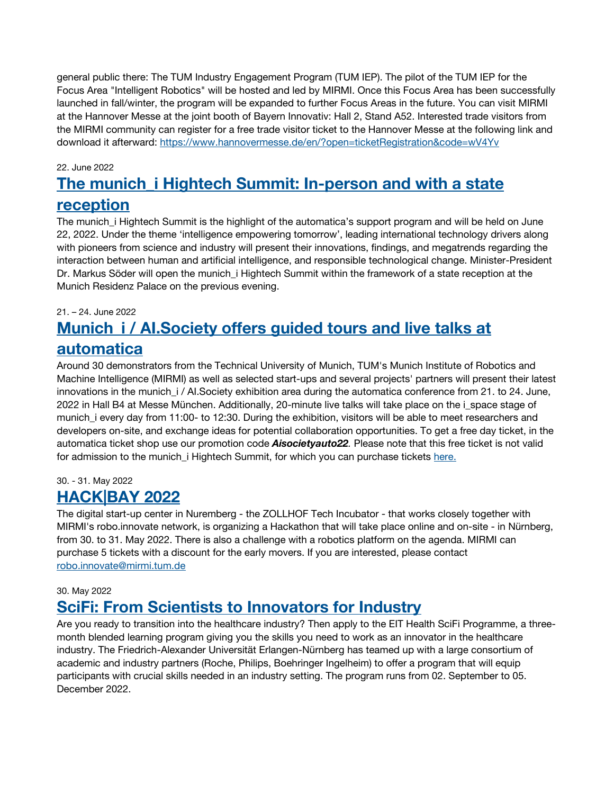general public there: The TUM Industry Engagement Program (TUM IEP). The pilot of the TUM IEP for the Focus Area "Intelligent Robotics" will be hosted and led by MIRMI. Once this Focus Area has been successfully launched in fall/winter, the program will be expanded to further Focus Areas in the future. You can visit MIRMI at the Hannover Messe at the joint booth of Bayern Innovativ: Hall 2, Stand A52. Interested trade visitors from the MIRMI community can register for a free trade visitor ticket to the Hannover Messe at the following link and download it afterward:<https://www.hannovermesse.de/en/?open=ticketRegistration&code=wV4Yv>

#### 22. June 2022

# **[The munich\\_i Hightech Summit: In-person and with a state](https://www.mirmi.tum.de/mirmi/news/article/save-the-date-and-a-ticket-munich-i-hightech-summit-takes-place-on-june-22/)  [reception](https://www.mirmi.tum.de/mirmi/news/article/save-the-date-and-a-ticket-munich-i-hightech-summit-takes-place-on-june-22/)**

The munich i Hightech Summit is the highlight of the automatica's support program and will be held on June 22, 2022. Under the theme 'intelligence empowering tomorrow', leading international technology drivers along with pioneers from science and industry will present their innovations, findings, and megatrends regarding the interaction between human and artificial intelligence, and responsible technological change. Minister-President Dr. Markus Söder will open the munich\_i Hightech Summit within the framework of a state reception at the Munich Residenz Palace on the previous evening.

#### 21. – 24. June 2022

# **Munich\_i / [AI.Society offers guided tours and live talks at](https://www.mirmi.tum.de/mirmi/news/article/munich-i-aisociety-offers-guided-tours-and-live-talks-at-automatica-from-21-to-24-june-2022/)  [automatica](https://www.mirmi.tum.de/mirmi/news/article/munich-i-aisociety-offers-guided-tours-and-live-talks-at-automatica-from-21-to-24-june-2022/)**

Around 30 demonstrators from the Technical University of Munich, TUM's Munich Institute of Robotics and Machine Intelligence (MIRMI) as well as selected start-ups and several projects' partners will present their latest innovations in the munich\_i / AI.Society exhibition area during the automatica conference from 21. to 24. June, 2022 in Hall B4 at Messe München. Additionally, 20-minute live talks will take place on the i\_space stage of munich i every day from 11:00- to 12:30. During the exhibition, visitors will be able to meet researchers and developers on-site, and exchange ideas for potential collaboration opportunities. To get a free day ticket, in the automatica ticket shop use our promotion code *Aisocietyauto22.* Please note that this free ticket is not valid for admission to the munich\_i Hightech Summit, for which you can purchase tickets [here.](https://automatica-munich.com/en/trade-fair/munich-i/summit/)

#### 30. - 31. May 2022

### **[HACK|BAY 2022](https://www.hackbay.de/)**

The digital start-up center in Nuremberg - the ZOLLHOF Tech Incubator - that works closely together with MIRMI's robo.innovate network, is organizing a Hackathon that will take place online and on-site - in Nürnberg, from 30. to 31. May 2022. There is also a challenge with a robotics platform on the agenda. MIRMI can purchase 5 tickets with a discount for the early movers. If you are interested, please contact [robo.innovate@mirmi.tum.de](mailto:robo.innovate@mirmi.tum.de)

#### 30. May 2022

### **[SciFi: From Scientists to Innovators for Industry](https://eithealth.eu/programmes/sci-fi/)**

Are you ready to transition into the healthcare industry? Then apply to the EIT Health SciFi Programme, a threemonth blended learning program giving you the skills you need to work as an innovator in the healthcare industry. The Friedrich-Alexander Universität Erlangen-Nürnberg has teamed up with a large consortium of academic and industry partners (Roche, Philips, Boehringer Ingelheim) to offer a program that will equip participants with crucial skills needed in an industry setting. The program runs from 02. September to 05. December 2022.